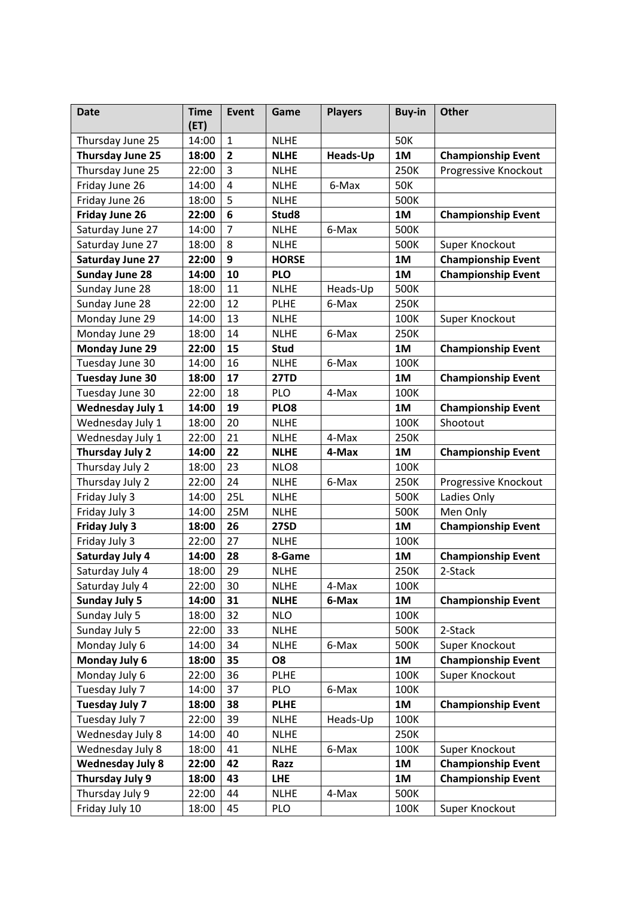| <b>Date</b>             | <b>Time</b><br>(ET) | Event          | Game         | <b>Players</b>  | <b>Buy-in</b> | <b>Other</b>              |
|-------------------------|---------------------|----------------|--------------|-----------------|---------------|---------------------------|
| Thursday June 25        | 14:00               | $\mathbf{1}$   | <b>NLHE</b>  |                 | <b>50K</b>    |                           |
| Thursday June 25        | 18:00               | $\overline{2}$ | <b>NLHE</b>  | <b>Heads-Up</b> | 1M            | <b>Championship Event</b> |
| Thursday June 25        | 22:00               | 3              | <b>NLHE</b>  |                 | 250K          | Progressive Knockout      |
| Friday June 26          | 14:00               | $\overline{4}$ | <b>NLHE</b>  | 6-Max           | <b>50K</b>    |                           |
| Friday June 26          | 18:00               | 5              | <b>NLHE</b>  |                 | 500K          |                           |
| <b>Friday June 26</b>   | 22:00               | 6              | Stud8        |                 | 1M            | <b>Championship Event</b> |
| Saturday June 27        | 14:00               | $\overline{7}$ | <b>NLHE</b>  | 6-Max           | 500K          |                           |
| Saturday June 27        | 18:00               | 8              | <b>NLHE</b>  |                 | 500K          | Super Knockout            |
| Saturday June 27        | 22:00               | 9              | <b>HORSE</b> |                 | 1M            | <b>Championship Event</b> |
| <b>Sunday June 28</b>   | 14:00               | 10             | <b>PLO</b>   |                 | 1M            | <b>Championship Event</b> |
| Sunday June 28          | 18:00               | 11             | <b>NLHE</b>  | Heads-Up        | 500K          |                           |
| Sunday June 28          | 22:00               | 12             | <b>PLHE</b>  | 6-Max           | 250K          |                           |
| Monday June 29          | 14:00               | 13             | <b>NLHE</b>  |                 | 100K          | Super Knockout            |
| Monday June 29          | 18:00               | 14             | <b>NLHE</b>  | 6-Max           | 250K          |                           |
| <b>Monday June 29</b>   | 22:00               | 15             | <b>Stud</b>  |                 | 1M            | <b>Championship Event</b> |
| Tuesday June 30         | 14:00               | 16             | <b>NLHE</b>  | 6-Max           | 100K          |                           |
| <b>Tuesday June 30</b>  | 18:00               | 17             | <b>27TD</b>  |                 | 1M            | <b>Championship Event</b> |
| Tuesday June 30         | 22:00               | 18             | PLO          | 4-Max           | 100K          |                           |
| <b>Wednesday July 1</b> | 14:00               | 19             | PLO8         |                 | 1M            | <b>Championship Event</b> |
| Wednesday July 1        | 18:00               | 20             | <b>NLHE</b>  |                 | 100K          | Shootout                  |
| Wednesday July 1        | 22:00               | 21             | <b>NLHE</b>  | 4-Max           | 250K          |                           |
| Thursday July 2         | 14:00               | 22             | <b>NLHE</b>  | 4-Max           | 1M            | <b>Championship Event</b> |
| Thursday July 2         | 18:00               | 23             | NLO8         |                 | 100K          |                           |
| Thursday July 2         | 22:00               | 24             | <b>NLHE</b>  | 6-Max           | 250K          | Progressive Knockout      |
| Friday July 3           | 14:00               | 25L            | <b>NLHE</b>  |                 | 500K          | Ladies Only               |
| Friday July 3           | 14:00               | 25M            | <b>NLHE</b>  |                 | 500K          | Men Only                  |
| <b>Friday July 3</b>    | 18:00               | 26             | <b>27SD</b>  |                 | 1M            | <b>Championship Event</b> |
| Friday July 3           | 22:00               | 27             | <b>NLHE</b>  |                 | 100K          |                           |
| <b>Saturday July 4</b>  | 14:00               | 28             | 8-Game       |                 | 1M            | <b>Championship Event</b> |
| Saturday July 4         | 18:00               | 29             | <b>NLHE</b>  |                 | 250K          | 2-Stack                   |
| Saturday July 4         | 22:00               | 30             | <b>NLHE</b>  | 4-Max           | 100K          |                           |
| <b>Sunday July 5</b>    | 14:00               | 31             | <b>NLHE</b>  | 6-Max           | 1M            | <b>Championship Event</b> |
| Sunday July 5           | 18:00               | 32             | <b>NLO</b>   |                 | 100K          |                           |
| Sunday July 5           | 22:00               | 33             | <b>NLHE</b>  |                 | 500K          | 2-Stack                   |
| Monday July 6           | 14:00               | 34             | <b>NLHE</b>  | 6-Max           | 500K          | Super Knockout            |
| Monday July 6           | 18:00               | 35             | <b>O8</b>    |                 | <b>1M</b>     | <b>Championship Event</b> |
| Monday July 6           | 22:00               | 36             | <b>PLHE</b>  |                 | 100K          | Super Knockout            |
| Tuesday July 7          | 14:00               | 37             | PLO          | 6-Max           | 100K          |                           |
| Tuesday July 7          | 18:00               | 38             | <b>PLHE</b>  |                 | 1M            | <b>Championship Event</b> |
| Tuesday July 7          | 22:00               | 39             | <b>NLHE</b>  | Heads-Up        | 100K          |                           |
| Wednesday July 8        | 14:00               | 40             | <b>NLHE</b>  |                 | 250K          |                           |
| Wednesday July 8        | 18:00               | 41             | <b>NLHE</b>  | 6-Max           | 100K          | Super Knockout            |
| <b>Wednesday July 8</b> | 22:00               | 42             | Razz         |                 | 1M            | <b>Championship Event</b> |
| Thursday July 9         | 18:00               | 43             | <b>LHE</b>   |                 | 1M            | <b>Championship Event</b> |
| Thursday July 9         | 22:00               | 44             | <b>NLHE</b>  | 4-Max           | 500K          |                           |
| Friday July 10          | 18:00               | 45             | PLO          |                 | 100K          | Super Knockout            |